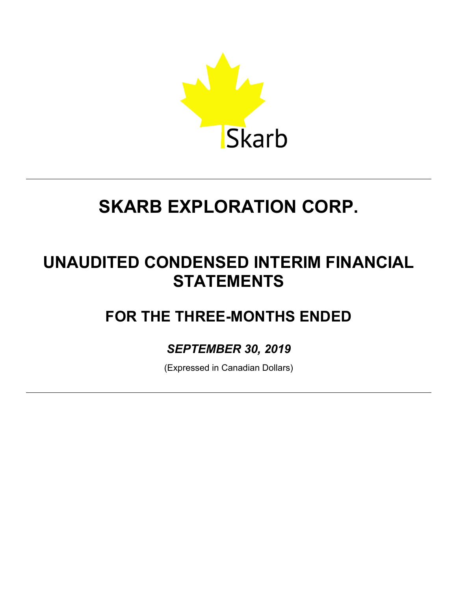

## **UNAUDITED CONDENSED INTERIM FINANCIAL STATEMENTS**

## **FOR THE THREE-MONTHS ENDED**

## *SEPTEMBER 30, 2019*

(Expressed in Canadian Dollars)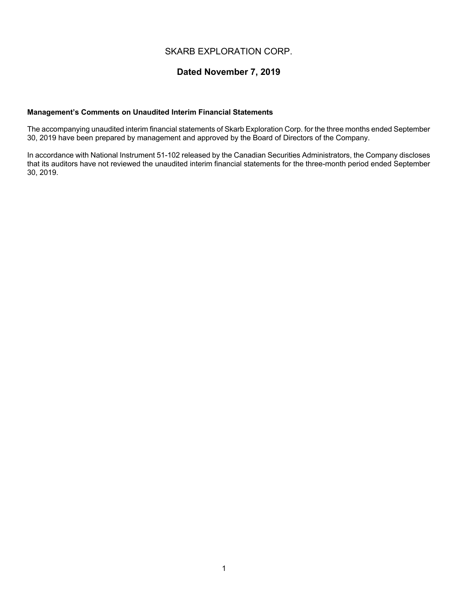## **Dated November 7, 2019**

#### **Management's Comments on Unaudited Interim Financial Statements**

The accompanying unaudited interim financial statements of Skarb Exploration Corp. for the three months ended September 30, 2019 have been prepared by management and approved by the Board of Directors of the Company.

In accordance with National Instrument 51-102 released by the Canadian Securities Administrators, the Company discloses that its auditors have not reviewed the unaudited interim financial statements for the three-month period ended September 30, 2019.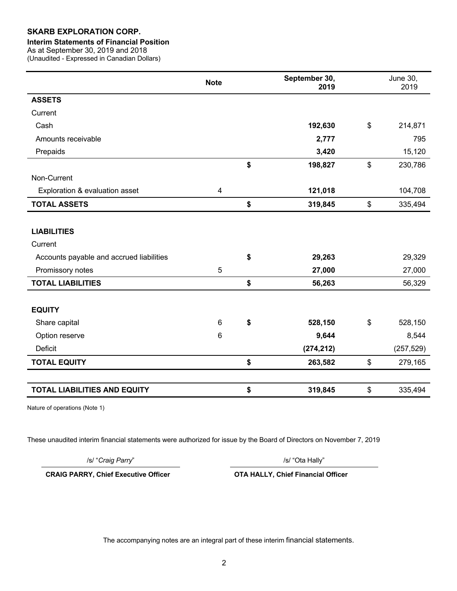#### **Interim Statements of Financial Position**

As at September 30, 2019 and 2018

(Unaudited - Expressed in Canadian Dollars)

|                                          | <b>Note</b>    | September 30,<br>2019 |                           | <b>June 30,</b><br>2019 |
|------------------------------------------|----------------|-----------------------|---------------------------|-------------------------|
| <b>ASSETS</b>                            |                |                       |                           |                         |
| Current                                  |                |                       |                           |                         |
| Cash                                     |                | 192,630               | $\$\$                     | 214,871                 |
| Amounts receivable                       |                | 2,777                 |                           | 795                     |
| Prepaids                                 |                | 3,420                 |                           | 15,120                  |
|                                          |                | \$<br>198,827         | $\boldsymbol{\mathsf{S}}$ | 230,786                 |
| Non-Current                              |                |                       |                           |                         |
| Exploration & evaluation asset           | 4              | 121,018               |                           | 104,708                 |
| <b>TOTAL ASSETS</b>                      |                | \$<br>319,845         | $\boldsymbol{\mathsf{S}}$ | 335,494                 |
|                                          |                |                       |                           |                         |
| <b>LIABILITIES</b>                       |                |                       |                           |                         |
| Current                                  |                |                       |                           |                         |
| Accounts payable and accrued liabilities |                | \$<br>29,263          |                           | 29,329                  |
| Promissory notes                         | 5              | 27,000                |                           | 27,000                  |
| <b>TOTAL LIABILITIES</b>                 |                | \$<br>56,263          |                           | 56,329                  |
|                                          |                |                       |                           |                         |
| <b>EQUITY</b>                            |                |                       |                           |                         |
| Share capital                            | $6\phantom{1}$ | \$<br>528,150         | $\boldsymbol{\mathsf{S}}$ | 528,150                 |
| Option reserve                           | 6              | 9,644                 |                           | 8,544                   |
| <b>Deficit</b>                           |                | (274, 212)            |                           | (257, 529)              |
| <b>TOTAL EQUITY</b>                      |                | \$<br>263,582         | $\boldsymbol{\mathsf{S}}$ | 279,165                 |
|                                          |                |                       |                           |                         |
| <b>TOTAL LIABILITIES AND EQUITY</b>      |                | \$<br>319,845         | \$                        | 335,494                 |

Nature of operations (Note 1)

These unaudited interim financial statements were authorized for issue by the Board of Directors on November 7, 2019

/s/ "*Craig Parry*" /s/ "Ota Hally"

**CRAIG PARRY, Chief Executive Officer OTA HALLY, Chief Financial Officer**

The accompanying notes are an integral part of these interim financial statements.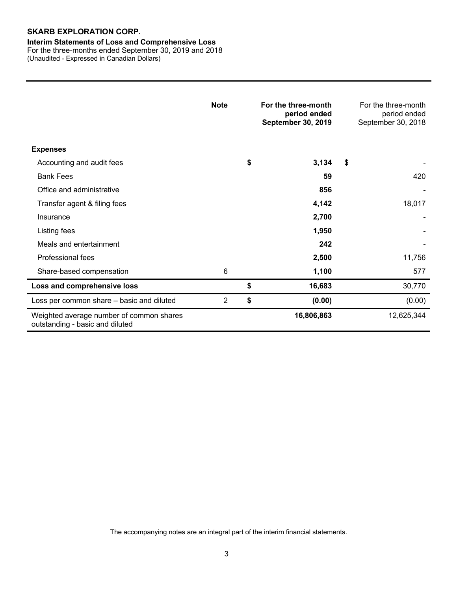#### **Interim Statements of Loss and Comprehensive Loss**

For the three-months ended September 30, 2019 and 2018 (Unaudited - Expressed in Canadian Dollars)

|                                                                             | <b>Note</b>    | For the three-month<br>period ended<br><b>September 30, 2019</b> | For the three-month<br>period ended<br>September 30, 2018 |
|-----------------------------------------------------------------------------|----------------|------------------------------------------------------------------|-----------------------------------------------------------|
| <b>Expenses</b>                                                             |                |                                                                  |                                                           |
| Accounting and audit fees                                                   |                | \$<br>3,134                                                      | \$                                                        |
| <b>Bank Fees</b>                                                            |                | 59                                                               | 420                                                       |
| Office and administrative                                                   |                | 856                                                              |                                                           |
| Transfer agent & filing fees                                                |                | 4,142                                                            | 18,017                                                    |
| Insurance                                                                   |                | 2,700                                                            |                                                           |
| Listing fees                                                                |                | 1,950                                                            |                                                           |
| Meals and entertainment                                                     |                | 242                                                              |                                                           |
| Professional fees                                                           |                | 2,500                                                            | 11,756                                                    |
| Share-based compensation                                                    | 6              | 1,100                                                            | 577                                                       |
| Loss and comprehensive loss                                                 |                | \$<br>16,683                                                     | 30,770                                                    |
| Loss per common share - basic and diluted                                   | $\overline{2}$ | \$<br>(0.00)                                                     | (0.00)                                                    |
| Weighted average number of common shares<br>outstanding - basic and diluted |                | 16,806,863                                                       | 12,625,344                                                |

The accompanying notes are an integral part of the interim financial statements.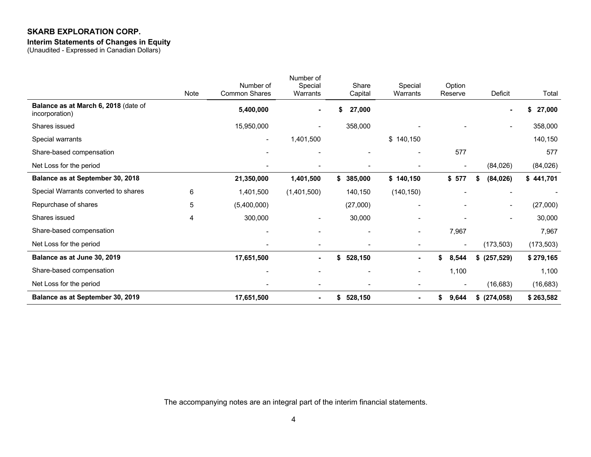#### **Interim Statements of Changes in Equity**

(Unaudited - Expressed in Canadian Dollars)

| Balance as at September 30, 2019                       |             | 17,651,500                        | ۰                                | 528,150<br>\$            | ۰.                  | \$<br>9,644              | $$$ (274,058)            | \$263,582   |
|--------------------------------------------------------|-------------|-----------------------------------|----------------------------------|--------------------------|---------------------|--------------------------|--------------------------|-------------|
| Net Loss for the period                                |             |                                   | $\qquad \qquad \blacksquare$     |                          |                     |                          | (16, 683)                | (16, 683)   |
| Share-based compensation                               |             | $\overline{\phantom{a}}$          |                                  |                          | -                   | 1,100                    |                          | 1,100       |
| Balance as at June 30, 2019                            |             | 17,651,500                        | $\blacksquare$                   | \$<br>528,150            | ۰.                  | 8,544<br>S.              | \$ (257,529)             | \$279,165   |
| Net Loss for the period                                |             |                                   |                                  |                          |                     | $\overline{\phantom{a}}$ | (173, 503)               | (173, 503)  |
| Share-based compensation                               |             | $\overline{\phantom{a}}$          | $\overline{\phantom{0}}$         | $\overline{\phantom{a}}$ | Ξ.                  | 7,967                    |                          | 7,967       |
| Shares issued                                          | 4           | 300,000                           | -                                | 30,000                   |                     |                          | ۰                        | 30,000      |
| Repurchase of shares                                   | 5           | (5,400,000)                       |                                  | (27,000)                 |                     | $\overline{\phantom{0}}$ | $\overline{\phantom{a}}$ | (27,000)    |
| Special Warrants converted to shares                   | 6           | 1,401,500                         | (1,401,500)                      | 140,150                  | (140, 150)          |                          | $\overline{\phantom{a}}$ |             |
| Balance as at September 30, 2018                       |             | 21,350,000                        | 1,401,500                        | \$<br>385,000            | \$140,150           | \$577                    | (84, 026)<br>\$          | \$441,701   |
| Net Loss for the period                                |             |                                   |                                  |                          |                     | $\overline{\phantom{a}}$ | (84,026)                 | (84,026)    |
| Share-based compensation                               |             |                                   |                                  |                          |                     | 577                      |                          | 577         |
| Special warrants                                       |             | $\sim$                            | 1,401,500                        |                          | \$140,150           |                          |                          | 140,150     |
| Shares issued                                          |             | 15,950,000                        |                                  | 358,000                  |                     |                          | $\overline{\phantom{a}}$ | 358,000     |
| Balance as at March 6, 2018 (date of<br>incorporation) |             | 5,400,000                         |                                  | 27,000                   |                     |                          |                          | 27,000<br>S |
|                                                        | <b>Note</b> | Number of<br><b>Common Shares</b> | Number of<br>Special<br>Warrants | Share<br>Capital         | Special<br>Warrants | Option<br>Reserve        | Deficit                  | Total       |

The accompanying notes are an integral part of the interim financial statements.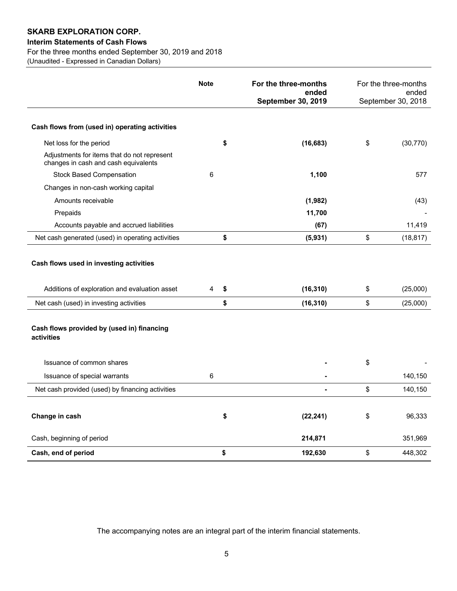#### **Interim Statements of Cash Flows**

For the three months ended September 30, 2019 and 2018

(Unaudited - Expressed in Canadian Dollars)

|                                                                                          | <b>Note</b> | For the three-months<br>ended | For the three-months<br>ended |
|------------------------------------------------------------------------------------------|-------------|-------------------------------|-------------------------------|
|                                                                                          |             | September 30, 2019            | September 30, 2018            |
| Cash flows from (used in) operating activities                                           |             |                               |                               |
| Net loss for the period                                                                  | \$          | (16, 683)                     | \$<br>(30, 770)               |
| Adjustments for items that do not represent<br>changes in cash and cash equivalents      |             |                               |                               |
| <b>Stock Based Compensation</b>                                                          | 6           | 1,100                         | 577                           |
| Changes in non-cash working capital                                                      |             |                               |                               |
| Amounts receivable                                                                       |             | (1,982)                       | (43)                          |
| Prepaids                                                                                 |             | 11,700                        |                               |
| Accounts payable and accrued liabilities                                                 |             | (67)                          | 11,419                        |
| Net cash generated (used) in operating activities                                        | \$          | (5,931)                       | \$<br>(18, 817)               |
| Cash flows used in investing activities<br>Additions of exploration and evaluation asset | 4<br>\$     | (16, 310)                     | \$<br>(25,000)                |
| Net cash (used) in investing activities                                                  | \$          | (16, 310)                     | \$<br>(25,000)                |
| Cash flows provided by (used in) financing<br>activities                                 |             |                               |                               |
| Issuance of common shares                                                                |             |                               | \$                            |
| Issuance of special warrants                                                             | 6           |                               | 140,150                       |
| Net cash provided (used) by financing activities                                         |             |                               | \$<br>140,150                 |
| Change in cash                                                                           | \$          | (22, 241)                     | \$<br>96,333                  |
| Cash, beginning of period                                                                |             | 214,871                       | 351,969                       |
| Cash, end of period                                                                      | \$          | 192,630                       | \$<br>448,302                 |

The accompanying notes are an integral part of the interim financial statements.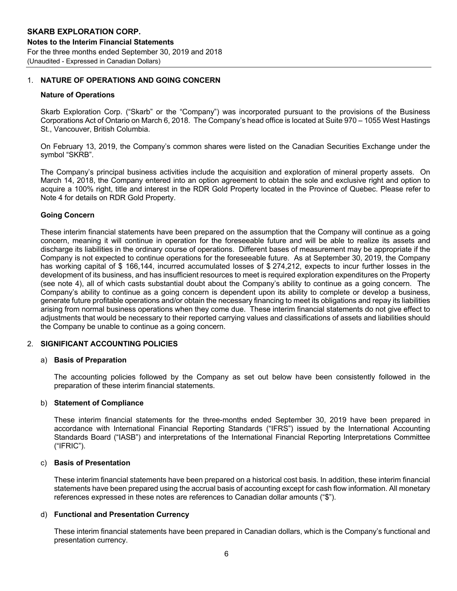#### 1. **NATURE OF OPERATIONS AND GOING CONCERN**

#### **Nature of Operations**

Skarb Exploration Corp. ("Skarb" or the "Company") was incorporated pursuant to the provisions of the Business Corporations Act of Ontario on March 6, 2018. The Company's head office is located at Suite 970 – 1055 West Hastings St., Vancouver, British Columbia.

On February 13, 2019, the Company's common shares were listed on the Canadian Securities Exchange under the symbol "SKRB".

The Company's principal business activities include the acquisition and exploration of mineral property assets. On March 14, 2018, the Company entered into an option agreement to obtain the sole and exclusive right and option to acquire a 100% right, title and interest in the RDR Gold Property located in the Province of Quebec. Please refer to Note 4 for details on RDR Gold Property.

#### **Going Concern**

These interim financial statements have been prepared on the assumption that the Company will continue as a going concern, meaning it will continue in operation for the foreseeable future and will be able to realize its assets and discharge its liabilities in the ordinary course of operations. Different bases of measurement may be appropriate if the Company is not expected to continue operations for the foreseeable future. As at September 30, 2019, the Company has working capital of \$166,144, incurred accumulated losses of \$274,212, expects to incur further losses in the development of its business, and has insufficient resources to meet is required exploration expenditures on the Property (see note 4), all of which casts substantial doubt about the Company's ability to continue as a going concern. The Company's ability to continue as a going concern is dependent upon its ability to complete or develop a business, generate future profitable operations and/or obtain the necessary financing to meet its obligations and repay its liabilities arising from normal business operations when they come due. These interim financial statements do not give effect to adjustments that would be necessary to their reported carrying values and classifications of assets and liabilities should the Company be unable to continue as a going concern.

#### 2. **SIGNIFICANT ACCOUNTING POLICIES**

#### a) **Basis of Preparation**

The accounting policies followed by the Company as set out below have been consistently followed in the preparation of these interim financial statements.

#### b) **Statement of Compliance**

These interim financial statements for the three-months ended September 30, 2019 have been prepared in accordance with International Financial Reporting Standards ("IFRS") issued by the International Accounting Standards Board ("IASB") and interpretations of the International Financial Reporting Interpretations Committee ("IFRIC").

#### c) **Basis of Presentation**

These interim financial statements have been prepared on a historical cost basis. In addition, these interim financial statements have been prepared using the accrual basis of accounting except for cash flow information. All monetary references expressed in these notes are references to Canadian dollar amounts ("\$").

#### d) **Functional and Presentation Currency**

These interim financial statements have been prepared in Canadian dollars, which is the Company's functional and presentation currency.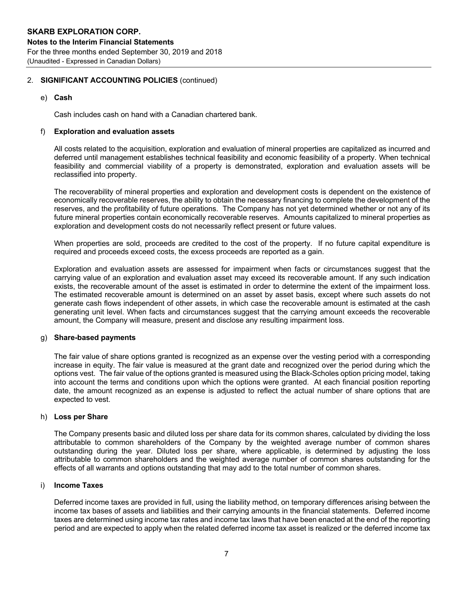#### 2. **SIGNIFICANT ACCOUNTING POLICIES** (continued)

e) **Cash**

Cash includes cash on hand with a Canadian chartered bank.

#### f) **Exploration and evaluation assets**

All costs related to the acquisition, exploration and evaluation of mineral properties are capitalized as incurred and deferred until management establishes technical feasibility and economic feasibility of a property. When technical feasibility and commercial viability of a property is demonstrated, exploration and evaluation assets will be reclassified into property.

The recoverability of mineral properties and exploration and development costs is dependent on the existence of economically recoverable reserves, the ability to obtain the necessary financing to complete the development of the reserves, and the profitability of future operations. The Company has not yet determined whether or not any of its future mineral properties contain economically recoverable reserves. Amounts capitalized to mineral properties as exploration and development costs do not necessarily reflect present or future values.

When properties are sold, proceeds are credited to the cost of the property. If no future capital expenditure is required and proceeds exceed costs, the excess proceeds are reported as a gain.

Exploration and evaluation assets are assessed for impairment when facts or circumstances suggest that the carrying value of an exploration and evaluation asset may exceed its recoverable amount. If any such indication exists, the recoverable amount of the asset is estimated in order to determine the extent of the impairment loss. The estimated recoverable amount is determined on an asset by asset basis, except where such assets do not generate cash flows independent of other assets, in which case the recoverable amount is estimated at the cash generating unit level. When facts and circumstances suggest that the carrying amount exceeds the recoverable amount, the Company will measure, present and disclose any resulting impairment loss.

#### g) **Share-based payments**

The fair value of share options granted is recognized as an expense over the vesting period with a corresponding increase in equity. The fair value is measured at the grant date and recognized over the period during which the options vest. The fair value of the options granted is measured using the Black-Scholes option pricing model, taking into account the terms and conditions upon which the options were granted. At each financial position reporting date, the amount recognized as an expense is adjusted to reflect the actual number of share options that are expected to vest.

#### h) **Loss per Share**

The Company presents basic and diluted loss per share data for its common shares, calculated by dividing the loss attributable to common shareholders of the Company by the weighted average number of common shares outstanding during the year. Diluted loss per share, where applicable, is determined by adjusting the loss attributable to common shareholders and the weighted average number of common shares outstanding for the effects of all warrants and options outstanding that may add to the total number of common shares.

#### i) **Income Taxes**

Deferred income taxes are provided in full, using the liability method, on temporary differences arising between the income tax bases of assets and liabilities and their carrying amounts in the financial statements. Deferred income taxes are determined using income tax rates and income tax laws that have been enacted at the end of the reporting period and are expected to apply when the related deferred income tax asset is realized or the deferred income tax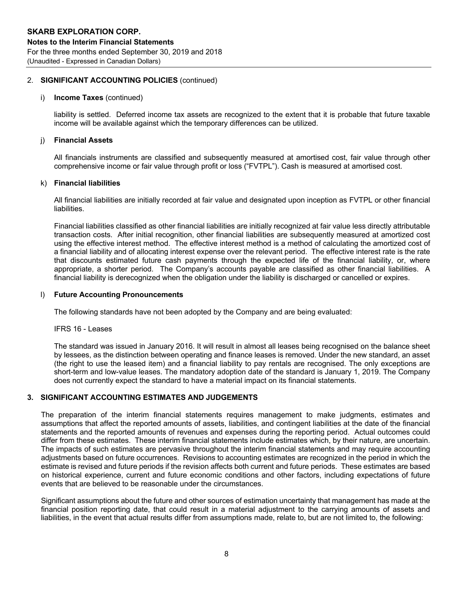#### 2. **SIGNIFICANT ACCOUNTING POLICIES** (continued)

#### i) **Income Taxes** (continued)

liability is settled. Deferred income tax assets are recognized to the extent that it is probable that future taxable income will be available against which the temporary differences can be utilized.

#### j) **Financial Assets**

All financials instruments are classified and subsequently measured at amortised cost, fair value through other comprehensive income or fair value through profit or loss ("FVTPL"). Cash is measured at amortised cost.

#### k) **Financial liabilities**

All financial liabilities are initially recorded at fair value and designated upon inception as FVTPL or other financial liabilities.

Financial liabilities classified as other financial liabilities are initially recognized at fair value less directly attributable transaction costs. After initial recognition, other financial liabilities are subsequently measured at amortized cost using the effective interest method. The effective interest method is a method of calculating the amortized cost of a financial liability and of allocating interest expense over the relevant period. The effective interest rate is the rate that discounts estimated future cash payments through the expected life of the financial liability, or, where appropriate, a shorter period. The Company's accounts payable are classified as other financial liabilities. A financial liability is derecognized when the obligation under the liability is discharged or cancelled or expires.

#### l) **Future Accounting Pronouncements**

The following standards have not been adopted by the Company and are being evaluated:

IFRS 16 - Leases

The standard was issued in January 2016. It will result in almost all leases being recognised on the balance sheet by lessees, as the distinction between operating and finance leases is removed. Under the new standard, an asset (the right to use the leased item) and a financial liability to pay rentals are recognised. The only exceptions are short-term and low-value leases. The mandatory adoption date of the standard is January 1, 2019. The Company does not currently expect the standard to have a material impact on its financial statements.

#### **3. SIGNIFICANT ACCOUNTING ESTIMATES AND JUDGEMENTS**

The preparation of the interim financial statements requires management to make judgments, estimates and assumptions that affect the reported amounts of assets, liabilities, and contingent liabilities at the date of the financial statements and the reported amounts of revenues and expenses during the reporting period. Actual outcomes could differ from these estimates. These interim financial statements include estimates which, by their nature, are uncertain. The impacts of such estimates are pervasive throughout the interim financial statements and may require accounting adjustments based on future occurrences. Revisions to accounting estimates are recognized in the period in which the estimate is revised and future periods if the revision affects both current and future periods. These estimates are based on historical experience, current and future economic conditions and other factors, including expectations of future events that are believed to be reasonable under the circumstances.

Significant assumptions about the future and other sources of estimation uncertainty that management has made at the financial position reporting date, that could result in a material adjustment to the carrying amounts of assets and liabilities, in the event that actual results differ from assumptions made, relate to, but are not limited to, the following: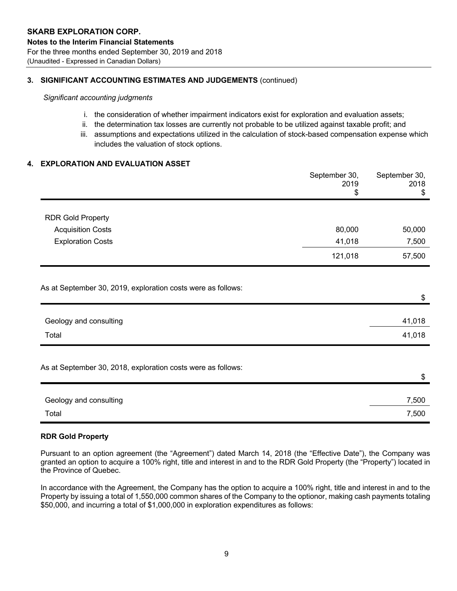#### **3. SIGNIFICANT ACCOUNTING ESTIMATES AND JUDGEMENTS** (continued)

*Significant accounting judgments*

- i. the consideration of whether impairment indicators exist for exploration and evaluation assets;
- ii. the determination tax losses are currently not probable to be utilized against taxable profit; and
- iii. assumptions and expectations utilized in the calculation of stock-based compensation expense which includes the valuation of stock options.

#### **4. EXPLORATION AND EVALUATION ASSET**

|                                                              | September 30,<br>2019<br>\$ | September 30,<br>2018<br>\$ |
|--------------------------------------------------------------|-----------------------------|-----------------------------|
| <b>RDR Gold Property</b>                                     |                             |                             |
| <b>Acquisition Costs</b>                                     | 80,000                      | 50,000                      |
| <b>Exploration Costs</b>                                     | 41,018                      | 7,500                       |
|                                                              | 121,018                     | 57,500                      |
| As at September 30, 2019, exploration costs were as follows: |                             | \$                          |
| Geology and consulting                                       |                             | 41,018                      |
| Total                                                        |                             | 41,018                      |
| As at September 30, 2018, exploration costs were as follows: |                             | $\, \, \$$                  |
| Geology and consulting                                       |                             | 7,500                       |
| Total                                                        |                             | 7,500                       |

#### **RDR Gold Property**

Pursuant to an option agreement (the "Agreement") dated March 14, 2018 (the "Effective Date"), the Company was granted an option to acquire a 100% right, title and interest in and to the RDR Gold Property (the "Property") located in the Province of Quebec.

In accordance with the Agreement, the Company has the option to acquire a 100% right, title and interest in and to the Property by issuing a total of 1,550,000 common shares of the Company to the optionor, making cash payments totaling \$50,000, and incurring a total of \$1,000,000 in exploration expenditures as follows: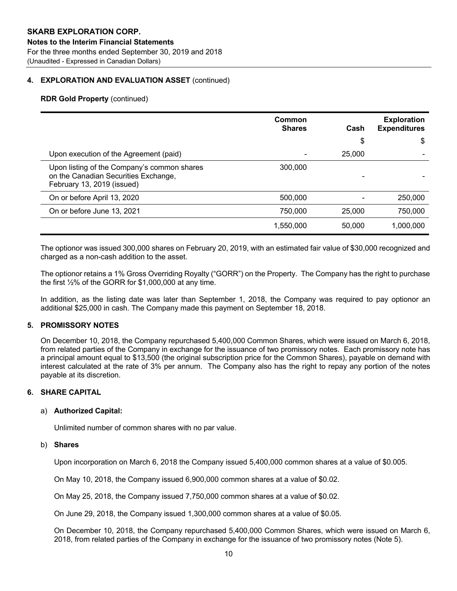#### **4. EXPLORATION AND EVALUATION ASSET** (continued)

#### **RDR Gold Property** (continued)

|                                                                                                                   | Common<br><b>Shares</b> | Cash   | <b>Exploration</b><br><b>Expenditures</b> |
|-------------------------------------------------------------------------------------------------------------------|-------------------------|--------|-------------------------------------------|
|                                                                                                                   |                         | \$     | \$                                        |
| Upon execution of the Agreement (paid)                                                                            |                         | 25,000 |                                           |
| Upon listing of the Company's common shares<br>on the Canadian Securities Exchange,<br>February 13, 2019 (issued) | 300,000                 |        |                                           |
| On or before April 13, 2020                                                                                       | 500,000                 |        | 250,000                                   |
| On or before June 13, 2021                                                                                        | 750,000                 | 25,000 | 750,000                                   |
|                                                                                                                   | 1,550,000               | 50,000 | 1,000,000                                 |

The optionor was issued 300,000 shares on February 20, 2019, with an estimated fair value of \$30,000 recognized and charged as a non-cash addition to the asset.

The optionor retains a 1% Gross Overriding Royalty ("GORR") on the Property. The Company has the right to purchase the first ½% of the GORR for \$1,000,000 at any time.

In addition, as the listing date was later than September 1, 2018, the Company was required to pay optionor an additional \$25,000 in cash. The Company made this payment on September 18, 2018.

#### **5. PROMISSORY NOTES**

On December 10, 2018, the Company repurchased 5,400,000 Common Shares, which were issued on March 6, 2018, from related parties of the Company in exchange for the issuance of two promissory notes. Each promissory note has a principal amount equal to \$13,500 (the original subscription price for the Common Shares), payable on demand with interest calculated at the rate of 3% per annum. The Company also has the right to repay any portion of the notes payable at its discretion.

#### **6. SHARE CAPITAL**

#### a) **Authorized Capital:**

Unlimited number of common shares with no par value.

#### b) **Shares**

Upon incorporation on March 6, 2018 the Company issued 5,400,000 common shares at a value of \$0.005.

On May 10, 2018, the Company issued 6,900,000 common shares at a value of \$0.02.

On May 25, 2018, the Company issued 7,750,000 common shares at a value of \$0.02.

On June 29, 2018, the Company issued 1,300,000 common shares at a value of \$0.05.

On December 10, 2018, the Company repurchased 5,400,000 Common Shares, which were issued on March 6, 2018, from related parties of the Company in exchange for the issuance of two promissory notes (Note 5).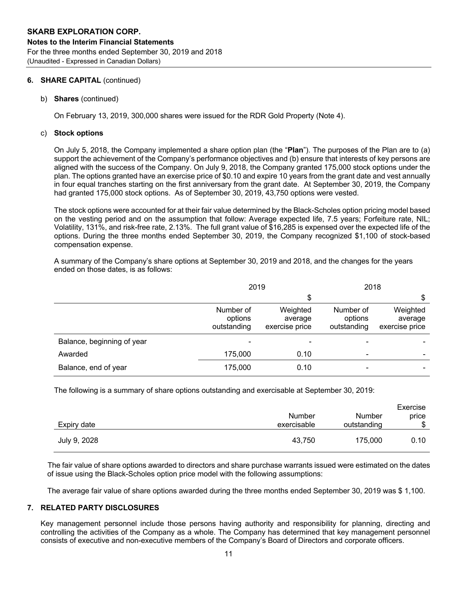#### **6. SHARE CAPITAL** (continued)

b) **Shares** (continued)

On February 13, 2019, 300,000 shares were issued for the RDR Gold Property (Note 4).

#### c) **Stock options**

On July 5, 2018, the Company implemented a share option plan (the "**Plan**"). The purposes of the Plan are to (a) support the achievement of the Company's performance objectives and (b) ensure that interests of key persons are aligned with the success of the Company. On July 9, 2018, the Company granted 175,000 stock options under the plan. The options granted have an exercise price of \$0.10 and expire 10 years from the grant date and vest annually in four equal tranches starting on the first anniversary from the grant date. At September 30, 2019, the Company had granted 175,000 stock options. As of September 30, 2019, 43,750 options were vested.

The stock options were accounted for at their fair value determined by the Black-Scholes option pricing model based on the vesting period and on the assumption that follow: Average expected life, 7.5 years; Forfeiture rate, NIL; Volatility, 131%, and risk-free rate, 2.13%. The full grant value of \$16,285 is expensed over the expected life of the options. During the three months ended September 30, 2019, the Company recognized \$1,100 of stock-based compensation expense.

A summary of the Company's share options at September 30, 2019 and 2018, and the changes for the years ended on those dates, is as follows:

|                            | 2019                                |                                       | 2018                                |                                       |
|----------------------------|-------------------------------------|---------------------------------------|-------------------------------------|---------------------------------------|
|                            |                                     | S                                     |                                     | S                                     |
|                            | Number of<br>options<br>outstanding | Weighted<br>average<br>exercise price | Number of<br>options<br>outstanding | Weighted<br>average<br>exercise price |
| Balance, beginning of year |                                     |                                       |                                     |                                       |
| Awarded                    | 175,000                             | 0.10                                  | -                                   |                                       |
| Balance, end of year       | 175,000                             | 0.10                                  |                                     |                                       |

The following is a summary of share options outstanding and exercisable at September 30, 2019:

| Expiry date  | <b>Number</b><br>exercisable | Number<br>outstanding | Exercise<br>price<br>\$ |
|--------------|------------------------------|-----------------------|-------------------------|
|              |                              |                       |                         |
| July 9, 2028 | 43,750                       | 175,000               | 0.10                    |

The fair value of share options awarded to directors and share purchase warrants issued were estimated on the dates of issue using the Black-Scholes option price model with the following assumptions:

The average fair value of share options awarded during the three months ended September 30, 2019 was \$ 1,100.

#### **7. RELATED PARTY DISCLOSURES**

Key management personnel include those persons having authority and responsibility for planning, directing and controlling the activities of the Company as a whole. The Company has determined that key management personnel consists of executive and non-executive members of the Company's Board of Directors and corporate officers.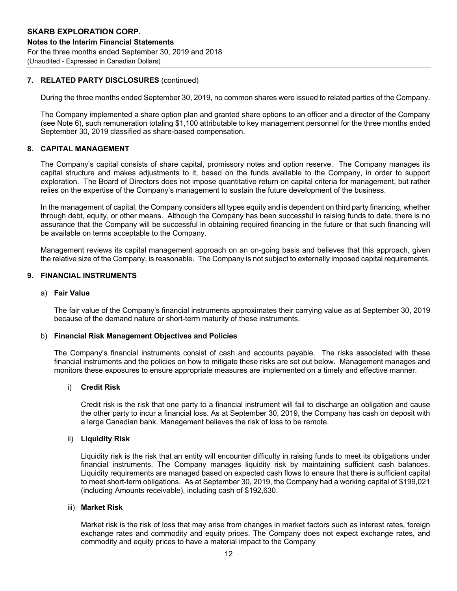#### **7. RELATED PARTY DISCLOSURES** (continued)

During the three months ended September 30, 2019, no common shares were issued to related parties of the Company.

The Company implemented a share option plan and granted share options to an officer and a director of the Company (see Note 6), such remuneration totaling \$1,100 attributable to key management personnel for the three months ended September 30, 2019 classified as share-based compensation.

#### **8. CAPITAL MANAGEMENT**

The Company's capital consists of share capital, promissory notes and option reserve. The Company manages its capital structure and makes adjustments to it, based on the funds available to the Company, in order to support exploration. The Board of Directors does not impose quantitative return on capital criteria for management, but rather relies on the expertise of the Company's management to sustain the future development of the business.

In the management of capital, the Company considers all types equity and is dependent on third party financing, whether through debt, equity, or other means. Although the Company has been successful in raising funds to date, there is no assurance that the Company will be successful in obtaining required financing in the future or that such financing will be available on terms acceptable to the Company.

Management reviews its capital management approach on an on-going basis and believes that this approach, given the relative size of the Company, is reasonable. The Company is not subject to externally imposed capital requirements.

#### **9. FINANCIAL INSTRUMENTS**

#### a) **Fair Value**

The fair value of the Company's financial instruments approximates their carrying value as at September 30, 2019 because of the demand nature or short-term maturity of these instruments.

#### b) **Financial Risk Management Objectives and Policies**

The Company's financial instruments consist of cash and accounts payable. The risks associated with these financial instruments and the policies on how to mitigate these risks are set out below. Management manages and monitors these exposures to ensure appropriate measures are implemented on a timely and effective manner.

#### i) **Credit Risk**

Credit risk is the risk that one party to a financial instrument will fail to discharge an obligation and cause the other party to incur a financial loss. As at September 30, 2019, the Company has cash on deposit with a large Canadian bank. Management believes the risk of loss to be remote.

#### ii) **Liquidity Risk**

Liquidity risk is the risk that an entity will encounter difficulty in raising funds to meet its obligations under financial instruments. The Company manages liquidity risk by maintaining sufficient cash balances. Liquidity requirements are managed based on expected cash flows to ensure that there is sufficient capital to meet short-term obligations. As at September 30, 2019, the Company had a working capital of \$199,021 (including Amounts receivable), including cash of \$192,630.

#### iii) **Market Risk**

Market risk is the risk of loss that may arise from changes in market factors such as interest rates, foreign exchange rates and commodity and equity prices. The Company does not expect exchange rates, and commodity and equity prices to have a material impact to the Company